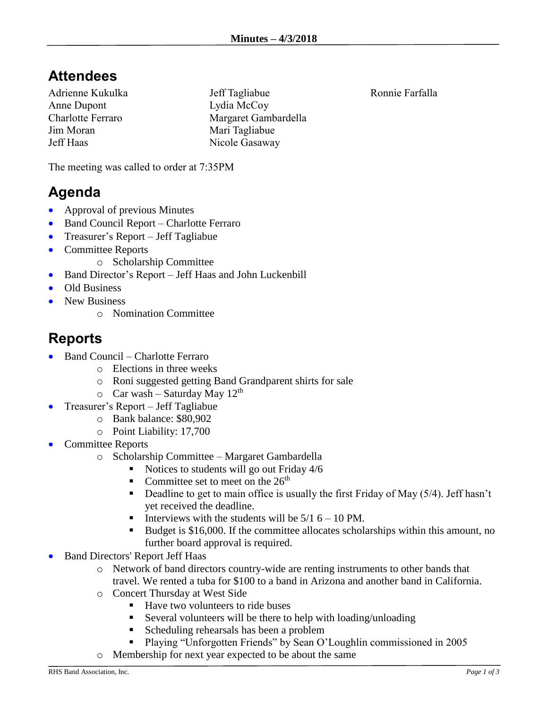## **Attendees**

Adrienne Kukulka Anne Dupont Charlotte Ferraro Jim Moran Jeff Haas

Jeff Tagliabue Lydia McCoy Margaret Gambardella Mari Tagliabue Nicole Gasaway

The meeting was called to order at 7:35PM

## **Agenda**

- Approval of previous Minutes
- Band Council Report Charlotte Ferraro
- Treasurer's Report Jeff Tagliabue
- Committee Reports
	- o Scholarship Committee
- Band Director's Report Jeff Haas and John Luckenbill
- Old Business
- New Business
	- o Nomination Committee

## **Reports**

- Band Council Charlotte Ferraro
	- o Elections in three weeks
		- o Roni suggested getting Band Grandparent shirts for sale
	- $\circ$  Car wash Saturday May 12<sup>th</sup>
- Treasurer's Report Jeff Tagliabue
	- o Bank balance: \$80,902
	- o Point Liability: 17,700
- Committee Reports
	- o Scholarship Committee Margaret Gambardella
		- Notices to students will go out Friday 4/6
		- Committee set to meet on the  $26<sup>th</sup>$
		- **•** Deadline to get to main office is usually the first Friday of May  $(5/4)$ . Jeff hasn't yet received the deadline.
		- **•** Interviews with the students will be  $5/16 10$  PM.
		- Budget is \$16,000. If the committee allocates scholarships within this amount, no further board approval is required.
- Band Directors' Report Jeff Haas
	- o Network of band directors country-wide are renting instruments to other bands that travel. We rented a tuba for \$100 to a band in Arizona and another band in California.
	- o Concert Thursday at West Side
		- Have two volunteers to ride buses
		- Several volunteers will be there to help with loading/unloading
		- Scheduling rehearsals has been a problem
		- Playing "Unforgotten Friends" by Sean O'Loughlin commissioned in 2005
	- o Membership for next year expected to be about the same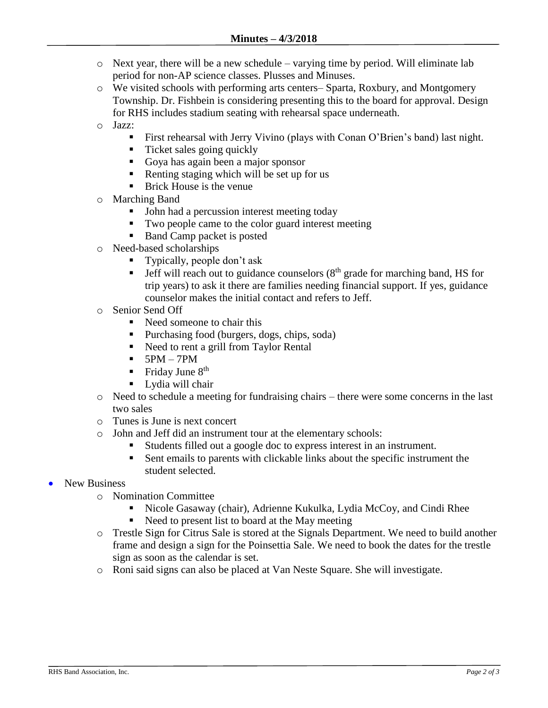- o Next year, there will be a new schedule varying time by period. Will eliminate lab period for non-AP science classes. Plusses and Minuses.
- o We visited schools with performing arts centers– Sparta, Roxbury, and Montgomery Township. Dr. Fishbein is considering presenting this to the board for approval. Design for RHS includes stadium seating with rehearsal space underneath.
- o Jazz:
	- First rehearsal with Jerry Vivino (plays with Conan O'Brien's band) last night.
	- Ticket sales going quickly
	- Goya has again been a major sponsor
	- Renting staging which will be set up for us
	- Brick House is the venue
- o Marching Band
	- John had a percussion interest meeting today
	- Two people came to the color guard interest meeting
	- Band Camp packet is posted
- o Need-based scholarships
	- **•** Typically, people don't ask
	- **•** Jeff will reach out to guidance counselors  $(8<sup>th</sup>$  grade for marching band, HS for trip years) to ask it there are families needing financial support. If yes, guidance counselor makes the initial contact and refers to Jeff.
- o Senior Send Off
	- Need someone to chair this
	- Purchasing food (burgers, dogs, chips, soda)
	- Need to rent a grill from Taylor Rental
	- $\blacksquare$  5PM 7PM
	- Friday June  $8<sup>th</sup>$
	- Lydia will chair
- o Need to schedule a meeting for fundraising chairs there were some concerns in the last two sales
- o Tunes is June is next concert
- o John and Jeff did an instrument tour at the elementary schools:
	- Students filled out a google doc to express interest in an instrument.
	- Sent emails to parents with clickable links about the specific instrument the student selected.
- New Business
	- o Nomination Committee
		- Nicole Gasaway (chair), Adrienne Kukulka, Lydia McCoy, and Cindi Rhee
		- Need to present list to board at the May meeting
	- o Trestle Sign for Citrus Sale is stored at the Signals Department. We need to build another frame and design a sign for the Poinsettia Sale. We need to book the dates for the trestle sign as soon as the calendar is set.
	- o Roni said signs can also be placed at Van Neste Square. She will investigate.